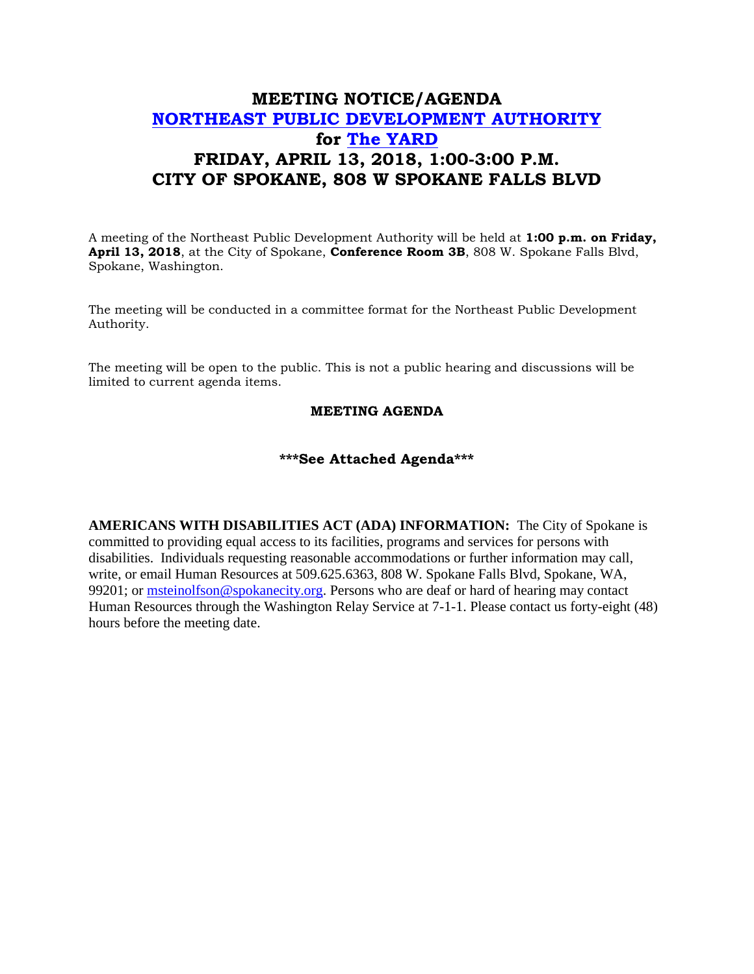## **MEETING NOTICE/AGENDA [NORTHEAST PUBLIC DEVELOPMENT AUTHORITY](https://beta.spokanecity.org/bcc/boards/northeast-public-development-authority/) for [The YARD](https://beta.spokanecity.org/projects/theyard/) FRIDAY, APRIL 13, 2018, 1:00-3:00 P.M. CITY OF SPOKANE, 808 W SPOKANE FALLS BLVD**

A meeting of the Northeast Public Development Authority will be held at **1:00 p.m. on Friday, April 13, 2018**, at the City of Spokane, **Conference Room 3B**, 808 W. Spokane Falls Blvd, Spokane, Washington.

The meeting will be conducted in a committee format for the Northeast Public Development Authority.

The meeting will be open to the public. This is not a public hearing and discussions will be limited to current agenda items.

## **MEETING AGENDA**

## **\*\*\*See Attached Agenda\*\*\***

**AMERICANS WITH DISABILITIES ACT (ADA) INFORMATION:** The City of Spokane is committed to providing equal access to its facilities, programs and services for persons with disabilities. Individuals requesting reasonable accommodations or further information may call, write, or email Human Resources at 509.625.6363, 808 W. Spokane Falls Blvd, Spokane, WA, 99201; or [msteinolfson@spokanecity.org.](mailto:msteinolfson@spokanecity.org) Persons who are deaf or hard of hearing may contact Human Resources through the Washington Relay Service at 7-1-1. Please contact us forty-eight (48) hours before the meeting date.